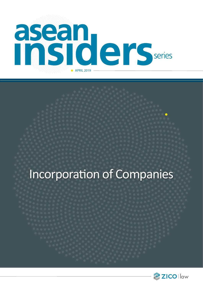

# Incorporation of Companies

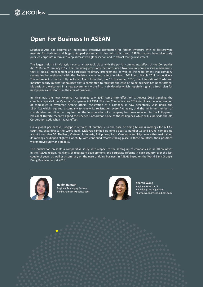## **Open For Business In ASEAN**

Southeast Asia has become an increasingly attractive destination for foreign investors with its fast-growing markets for business and huge untapped potential. In line with this trend, ASEAN nations have vigorously pursued corporate reforms to keep abreast with globalisation and to attract foreign investment.

The largest reform in Malaysian company law took place with the partial coming into effect of the Companies Act 2016 on 31 January 2017. The remaining provisions that introduced two new corporate rescue mechanisms, that is, judicial management and corporate voluntary arrangement, as well as the requirement that company secretaries be registered with the Registrar came into effect in March 2018 and March 2019 respectively. The entire Act is hence fully in force. Apart from that, on 19 November 2018, the International Trade and Industry deputy minister announced that a committee to facilitate the ease of doing business has been formed. Malaysia also welcomed in a new government – the first in six decades-which hopefully signals a fresh plan for new policies and reforms in the area of business.

In Myanmar, the new Myanmar Companies Law 2017 came into effect on 1 August 2018 signaling the complete repeal of the Myanmar Companies Act 1914. The new Companies Law 2017 simplifies the incorporation of companies in Myanmar. Among others, registration of a company is now perpetually valid unlike the 1914 Act which required a company to renew its registration every five years, and the minimum number of shareholders and directors required for the incorporation of a company has been reduced. In the Philippines, President Duterte recently signed the Revised Corporation Code of the Philippines which will supersede the old Corporation Code when it takes effect.

On a global perspective, Singapore remains at number 2 in the ease of doing business rankings for ASEAN countries, according to the World Bank. Malaysia climbed up nine places to number 15 and Brunei climbed up a spot to number 55. Thailand, Vietnam, Indonesia, Philippines, Laos, Cambodia and Myanmar either maintained its rankings or dipped slightly. Hopefully, with continued reforms taking place in these countries, their positions will improve surely and steadily.

This publication presents a comparative study with respect to the setting up of companies in all 10 countries in the ASEAN region, highlights of regulatory developments and corporate reforms in each country over the last couple of years, as well as a summary on the ease of doing business in ASEAN based on the World Bank Group's Doing Business Report 2019.



**Hanim Hamzah** Regional Managing Partner hanim.hamzah@zicolaw.com



**Sharon Wong** Regional Director of Knowledge Management sharon.wong@zicoholdings.com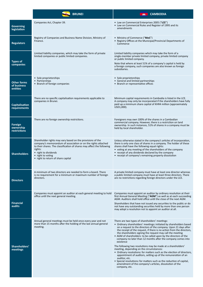|                                                    | <b>BRUNEI</b>                                                                                                                                                                                                                                                                                       | <b>CAMBODIA</b>                                                                                                                                                                                                                                                                                                                                                                                                                                                                                                                                                                                                                                                                                                                                                                                                                                                                                             |
|----------------------------------------------------|-----------------------------------------------------------------------------------------------------------------------------------------------------------------------------------------------------------------------------------------------------------------------------------------------------|-------------------------------------------------------------------------------------------------------------------------------------------------------------------------------------------------------------------------------------------------------------------------------------------------------------------------------------------------------------------------------------------------------------------------------------------------------------------------------------------------------------------------------------------------------------------------------------------------------------------------------------------------------------------------------------------------------------------------------------------------------------------------------------------------------------------------------------------------------------------------------------------------------------|
| <b>Governing</b><br>legislation                    | Companies Act, Chapter 39.                                                                                                                                                                                                                                                                          | • Law on Commercial Enterprises 2005 ("LCE")<br>• Law on Commercial Rules and Register of 1995 and its<br>amendments                                                                                                                                                                                                                                                                                                                                                                                                                                                                                                                                                                                                                                                                                                                                                                                        |
| <b>Regulators</b>                                  | Registry of Companies and Business Name Division, Ministry of<br>Finance.                                                                                                                                                                                                                           | • Ministry of Commerce ("MoC")<br>• Registry Offices at the Municipal/Provincial Departments of<br>Commerce                                                                                                                                                                                                                                                                                                                                                                                                                                                                                                                                                                                                                                                                                                                                                                                                 |
| <b>Types of</b><br>companies                       | Limited liability companies, which may take the form of private<br>limited companies or public limited companies.                                                                                                                                                                                   | Limited liability companies which may take the form of a<br>single-member private limited company, private limited company<br>or public limited company.<br>Note that where at least 51% of a company's capital is held by<br>a foreign company, such companies are also known as foreign<br>subsidiaries.                                                                                                                                                                                                                                                                                                                                                                                                                                                                                                                                                                                                  |
| <b>Other forms</b><br>of business<br>entities      | • Sole proprietorships<br>• Partnerships<br>• Branch of foreign companies                                                                                                                                                                                                                           | • Sole proprietorships<br>• General and limited partnerships<br>• Branch or representative offices                                                                                                                                                                                                                                                                                                                                                                                                                                                                                                                                                                                                                                                                                                                                                                                                          |
| <b>Capitalisation</b><br>requirements              | There are no specific capitalisation requirements applicable to<br>companies in Brunei.                                                                                                                                                                                                             | Minimum capital requirements in Cambodia is listed in the LCE.<br>A company may only be incorporated if the shareholders have fully<br>paid up a minimum share capital of KHR4 million (approximately<br>USD1,000).                                                                                                                                                                                                                                                                                                                                                                                                                                                                                                                                                                                                                                                                                         |
| <b>Foreign</b><br>ownership<br><b>restrictions</b> | There are no foreign ownership restrictions.                                                                                                                                                                                                                                                        | Foreigners may own 100% of the shares in a Cambodian<br>commercial company. However, there is a restriction on land<br>ownership. In such instances, 51% of shares in a company must be<br>held by local shareholder.                                                                                                                                                                                                                                                                                                                                                                                                                                                                                                                                                                                                                                                                                       |
| <b>Shareholders</b>                                | Shareholder rights may vary based on the provisions of the<br>company's memorandum of association or on the rights attached<br>to their shares. The classification of shares may affect the following<br>rights:<br>• right to dividends<br>• right to voting<br>• right to return of share capital | Unless otherwise stated in the company's articles of incorporation,<br>there is only one class of shares in a company. The holder of these<br>shares shall have the following equal rights:<br>• voting at any meeting of the shareholders of the company<br>• receipt of any dividends declared by the company<br>• receipt of company's remaining property dissolution                                                                                                                                                                                                                                                                                                                                                                                                                                                                                                                                    |
| <b>Directors</b>                                   | A minimum of two directors are needed to form a board. There<br>is no requirement for a minimum or maximum number of foreign<br>directors.                                                                                                                                                          | A private limited company must have at least one director whereas<br>a public limited company must have at least three directors. There<br>are no restrictions regarding foreign directors under the LCE.                                                                                                                                                                                                                                                                                                                                                                                                                                                                                                                                                                                                                                                                                                   |
| <b>Financial</b><br>audits                         | Companies must appoint an auditor at each general meeting to hold<br>office until the next general meeting.                                                                                                                                                                                         | Companies must appoint an auditor by ordinary resolution at their<br>first Annual General Meeting ("AGM") as well as at each succeeding<br>AGM. Auditors shall hold office until the close of the next AGM.<br>Shareholders that have not issued any securities to the public or do<br>not have any outstanding securities held by more than one person<br>may adopt a resolution not to appoint an auditor at all.                                                                                                                                                                                                                                                                                                                                                                                                                                                                                         |
| Shareholders'<br>meetings                          | Annual general meetings must be held once every year and not<br>more than 15 months after the holding of the last annual general<br>meeting.                                                                                                                                                        | There are two types of shareholders' meetings:<br>• Ordinary shareholders' meetings: initiated by shareholders based<br>on a request to the directors of the company. Upon 21 days after<br>the receipt of the request, if there is no action from the directors,<br>the shareholders signing the request may call the meeting<br>• AGM of shareholders: to be called upon by the directors of the<br>company no later than 12 months after the company comes into<br>existence<br>The following two resolutions may be made at a shareholders'<br>meeting, depending on the circumstances:<br>• Ordinary resolutions: for matters such as the election of directors,<br>appointment of auditors, setting up of the remuneration of an<br>auditor, etc.<br>• Special resolutions: for matters such as the reduction of capital,<br>amendment of the company's articles, dissolution of the<br>company, etc. |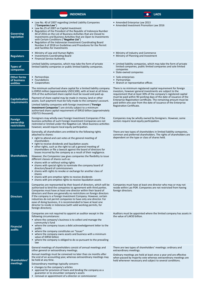|                                               | <b>INDONESIA</b>                                                                                                                                                                                                                                                                                                                                                                                                                                                                                                                                                                                                                                                                                                                                                                                                                                                                                             | <b>LAOS</b>                                                                                                                                                                                                                                                                                                                                                                                                                                  |
|-----------------------------------------------|--------------------------------------------------------------------------------------------------------------------------------------------------------------------------------------------------------------------------------------------------------------------------------------------------------------------------------------------------------------------------------------------------------------------------------------------------------------------------------------------------------------------------------------------------------------------------------------------------------------------------------------------------------------------------------------------------------------------------------------------------------------------------------------------------------------------------------------------------------------------------------------------------------------|----------------------------------------------------------------------------------------------------------------------------------------------------------------------------------------------------------------------------------------------------------------------------------------------------------------------------------------------------------------------------------------------------------------------------------------------|
| <b>Governing</b><br>legislation               | • Law No. 40 of 2007 regarding Limited Liability Companies<br>("Companies Law")<br>• Law No.25 of 2007 on Capital Investment<br>• Regulation of the President of the Republic of Indonesia Number<br>44 of 2016 on the List of Business Activities that are Closed to<br>Investments and Business Activities that are Open to Investments<br>with Certain Conditions ("Negative List")<br>Regulation of the Indonesian Investment Coordinating Board<br>$\bullet$<br>Number 6 of 2018 on Guidelines and Procedures for the Permit<br>and Facilities for Investments                                                                                                                                                                                                                                                                                                                                          | • Amended Enterprise Law 2013<br>• Amended Investment Promotion Law 2016                                                                                                                                                                                                                                                                                                                                                                     |
| <b>Regulators</b>                             | • Ministry of Law and Human Rights<br>• Investments Coordinating Board<br>• Financial Service Authority                                                                                                                                                                                                                                                                                                                                                                                                                                                                                                                                                                                                                                                                                                                                                                                                      | • Ministry of Industry and Commerce<br>• Ministry of Planning and Investment                                                                                                                                                                                                                                                                                                                                                                 |
| Types of<br>companies                         | Limited liability companies, which may take the form of private<br>limited liability companies or public limited liability companies.                                                                                                                                                                                                                                                                                                                                                                                                                                                                                                                                                                                                                                                                                                                                                                        | • Limited liability companies, which may take the form of private<br>limited companies, public limited companies and sole limited<br>companies<br>• State-owned companies                                                                                                                                                                                                                                                                    |
| <b>Other forms</b><br>of business<br>entities | • Partnerships<br>• Foundations<br>• Cooperatives                                                                                                                                                                                                                                                                                                                                                                                                                                                                                                                                                                                                                                                                                                                                                                                                                                                            | • Sole enterprises<br>• Partnerships<br>• Branch or representative offices                                                                                                                                                                                                                                                                                                                                                                   |
| <b>Capitalisation</b><br>requirements         | The minimum authorised share capital for a limited liability company<br>is IDR50 million (approximately USD3,500), with at least at all times<br>25% of the authorised share capital must be issued and paid up.<br>Payment of share capital may be made in money, land or other<br>assets. Such payment must be fully made to the company's account.<br>Limited liability companies with foreign investment (" <b>Foreign</b><br>Investment Companies") are strictly subject to a minimum<br>authorised share capital requirement of IDR10 billion (approximately<br>USD715 thousand).                                                                                                                                                                                                                                                                                                                      | There is no minimum registered capital requirement for foreign<br>investors, however general investments are subject to the<br>requirement that at least 30% of the company's registered capital<br>must be paid within 90 working days of the date of issuance of the<br>Enterprise Registration Certificate. The remaining amount must be<br>paid within one year from the date of issuance of the Enterprise<br>Registration Certificate. |
| Foreign<br>ownership<br>restrictions          | Foreigners may wholly-own Foreign Investment Companies if the<br>business activities of such Foreign Investment Companies are not<br>restricted or limited under the Negative List. Most business activities<br>however, would require local equity participation.                                                                                                                                                                                                                                                                                                                                                                                                                                                                                                                                                                                                                                           | Companies may be wholly owned by foreigners. However, some<br>sectors require local equity participation.                                                                                                                                                                                                                                                                                                                                    |
| <b>Shareholders</b>                           | Generally, all shareholders are entitled to the following rights<br>attached to shares:<br>• right to attend and cast votes at the general meeting of<br>shareholders<br>• right to receive dividends and liquidation assets<br>• other rights, such as the right to call a general meeting of<br>shareholders or file a lawsuit against the board of directors for<br>losses incurred by the company as a result of their negligence.<br>However, the Companies Law gives companies the flexibility to issue<br>different classes of shares such as:<br>• shares with or without voting rights<br>• shares with special rights to nominate the company board of<br>directors/board of commissioners<br>• shares with rights to revoke or exchange for another class of<br>shares<br>• shares with pre-emptive rights to receive dividends<br>• shares with pre-emptive rights to receive liquidation assets | There are two types of shareholders in limited liability companies,<br>common and preferred shareholders. The rights of shareholders are<br>dependent on the type or class of shares held.                                                                                                                                                                                                                                                   |
| <b>Directors</b>                              | Companies are represented by their board of directors, which will be<br>authorised to bind the companies to agreement with third parties.<br>Companies must have at least one director within their board of<br>directors and there are generally no restrictions on foreign directors<br>if the company is a Foreign Investment Company. However, certain<br>industries do not permit companies to have only one director. For<br>ease of doing business, it is recommended to have at least one<br>director to reside in Indonesia (with valid working permits, for<br>foreign directors).                                                                                                                                                                                                                                                                                                                 | Companies must have at least one director who may or may not<br>reside within Lao PDR. Companies are not restricted from having<br>foreign directors.                                                                                                                                                                                                                                                                                        |
| Financial<br>audits                           | Companies are not required to appoint an auditor except in the<br>following circumstances:<br>• where the company's business is to collect and manage the<br>community's fund<br>• where the company issues a debt acknowledgement letter to the<br>public<br>• where the company constitutes an "Issuer"<br>• where the company owns assets and business with a minimum<br>value of IDR50 billion<br>• where the company is obliged to do so pursuant to the prevailing<br>law                                                                                                                                                                                                                                                                                                                                                                                                                              | Auditors must be appointed where the limited company has assets in<br>the value of LAK50 billion.                                                                                                                                                                                                                                                                                                                                            |
| Shareholders'<br>meetings                     | General meetings of shareholders consist of annual meetings and<br>other general or extraordinary meetings.<br>Annual meetings must be convened no later than six months after<br>the end of an accounting year, whereas extraordinary meetings may<br>be held at any time.<br>Extraordinary meetings typically concern:<br>• changes to the company's articles<br>• approval for provision of loans and binding the company as a<br>guarantor or to encumber company's assets<br>• removal or appointment of a director or commissioner                                                                                                                                                                                                                                                                                                                                                                     | There are two types of shareholders' meetings: ordinary and<br>extraordinary meetings.<br>Ordinary meetings are held at least once a year and are effective<br>when passed by majority vote whereas extraordinary meetings are<br>held whenever necessary and subject to several conditions.                                                                                                                                                 |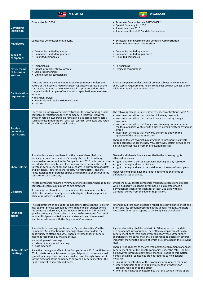|                                               | <b>MALAYSIA</b>                                                                                                                                                                                                                                                                                                                                                                                                                                                                                                                                                                                                                                                     | <b>MYANMAR</b>                                                                                                                                                                                                                                                                                                                                                                                                                                                                                                                                                                                                                                                                                                                                                                                                                                                                                            |
|-----------------------------------------------|---------------------------------------------------------------------------------------------------------------------------------------------------------------------------------------------------------------------------------------------------------------------------------------------------------------------------------------------------------------------------------------------------------------------------------------------------------------------------------------------------------------------------------------------------------------------------------------------------------------------------------------------------------------------|-----------------------------------------------------------------------------------------------------------------------------------------------------------------------------------------------------------------------------------------------------------------------------------------------------------------------------------------------------------------------------------------------------------------------------------------------------------------------------------------------------------------------------------------------------------------------------------------------------------------------------------------------------------------------------------------------------------------------------------------------------------------------------------------------------------------------------------------------------------------------------------------------------------|
| Governing<br>legislation                      | Companies Act 2016                                                                                                                                                                                                                                                                                                                                                                                                                                                                                                                                                                                                                                                  | • Myanmar Companies Law 2017 ("MCL")<br>• Special Company Act 1950<br>• Investment Law 2016<br>• Investment Rules 2017 and its Notifications                                                                                                                                                                                                                                                                                                                                                                                                                                                                                                                                                                                                                                                                                                                                                              |
| <b>Regulators</b>                             | Companies Commission of Malaysia.                                                                                                                                                                                                                                                                                                                                                                                                                                                                                                                                                                                                                                   | • Directorate of Investment and Company Administration<br>• Myanmar Investment Commission                                                                                                                                                                                                                                                                                                                                                                                                                                                                                                                                                                                                                                                                                                                                                                                                                 |
| <b>Types of</b><br>companies                  | • Companies limited by shares<br>• Companies limited by guarantee<br>• Unlimited companies                                                                                                                                                                                                                                                                                                                                                                                                                                                                                                                                                                          | • Companies limited by shares<br>• Companies limited by guarantee<br>• Unlimited companies                                                                                                                                                                                                                                                                                                                                                                                                                                                                                                                                                                                                                                                                                                                                                                                                                |
| <b>Other forms</b><br>of business<br>entities | • Partnerships<br>• Branch or representative offices<br>• Sole proprietorships<br>• Limited liability partnerships                                                                                                                                                                                                                                                                                                                                                                                                                                                                                                                                                  | • Partnerships<br>• Overseas corporations                                                                                                                                                                                                                                                                                                                                                                                                                                                                                                                                                                                                                                                                                                                                                                                                                                                                 |
| <b>Capitalisation</b><br>requirements         | There are generally no minimum capital requirements unless the<br>nature of the business requires certain regulatory approvals or the<br>contracting counterparty requires certain capital conditions to be<br>complied with. Examples of sectors with capitalisation requirements<br>include:<br>• financial services<br>• wholesale and retail distributive trade<br>• tourism                                                                                                                                                                                                                                                                                    | Private companies under the MCL are not subject to any minimum<br>share capital requirements. Public companies are not subject to any<br>minimum capital requirements either.                                                                                                                                                                                                                                                                                                                                                                                                                                                                                                                                                                                                                                                                                                                             |
| Foreign<br>ownership<br>restrictions          | There are no foreign ownership restrictions for incorporating a local<br>company or registering a foreign company in Malaysia. However,<br>limits on foreign ownership do remain in place across many sectors<br>such as telecommunications, oil & gas, tourism, wholesale and retail<br>distributive trade, and financial services.                                                                                                                                                                                                                                                                                                                                | The following categories are restricted under Notification 15/2017:<br>• investment activities that only the Union may carry out<br>• investment activities that may not be carried out by foreign<br>investors<br>• investment activities that foreign investors may only carry out in<br>the form of a joint venture with a citizen-owned entity or Myanmar<br>citizen<br>• investment activities that may only be carried out with the<br>approval of the relevant Ministries<br>There is no foreign ownership restrictions to incorporate a private<br>limited company under the new MCL. However, certain activities will<br>be subject to approvals from the relevant ministries.                                                                                                                                                                                                                   |
| <b>Shareholders</b>                           | Shareholders are classed based on the type of shares held, i.e.<br>ordinary or preference shares. Generally, the rights of ordinary<br>shareholders are set out in the Companies Act 2016, unless otherwise<br>provided in the constitution of a company. These include the rights<br>to vote in general meetings and equal shares in distribution of assets<br>and dividends. Preference shares carry no voting rights, and the<br>rights attached to preference shares are required to be set out in the<br>constitution of a company.                                                                                                                            | Generally, all shareholders are entitled to the following rights<br>attached to shares:<br>• right to vote on a poll at a company meeting on any resolution<br>• right to an equal share in dividends<br>• right to an equal share in the distribution of assets of a company<br>However, companies have the right to determine the terms of<br>different classes of shares.                                                                                                                                                                                                                                                                                                                                                                                                                                                                                                                              |
| <b>Directors</b>                              | Private companies require a minimum of one director, whereas public<br>companies require a minimum of two directors.<br>A company may have foreign directors but the minimum number<br>of directors must ordinarily reside in Malaysia by having a principal<br>place of residence in Malaysia.                                                                                                                                                                                                                                                                                                                                                                     | Under the MCL, private companies must have at least one director<br>who is ordinarily resident in Myanmar, i.e. a director who is a<br>permanent resident or resident for at least 183 days within a<br>12-month period from the date of registration.                                                                                                                                                                                                                                                                                                                                                                                                                                                                                                                                                                                                                                                    |
| Financial<br>audits                           | The appointment of an auditor is mandatory. However, the Registrar<br>may exempt private companies from appointing an auditor where<br>the company is dormant, a zero-revenue company or a threshold-<br>qualified company. Companies that elect to be exempted from audit<br>must still lodge unaudited financial statements and the required<br>statutory certificates with the Registrar of Companies.                                                                                                                                                                                                                                                           | Financial auditors must produce a report on every balance-sheet and<br>profit and loss account presented at the general meeting. Auditors<br>must also submit such reports to the company's shareholders.                                                                                                                                                                                                                                                                                                                                                                                                                                                                                                                                                                                                                                                                                                 |
| Shareholders'<br>meetings                     | Shareholder's meetings are termed as "general meetings" in the<br>Companies Act 2016. General meetings allow shareholders the<br>opportunity to attend and vote. There are three types of general<br>meetings recognised by Malaysian law:<br>• annual general meetings<br>• extraordinary general meetings<br>• class meetings<br>Since the coming into effect of the Companies Act 2016 on 31 January<br>2017, private companies are no longer obligated to convene annual<br>general meetings. However, shareholders have the right to request<br>for the directors of the company to convene a general meeting. This<br>right is subject to several conditions. | A general meeting shall be held within 18 months from the date<br>of a company's incorporation. Thereafter, a company must hold a<br>general meeting at least once every calendar year. Extraordinary<br>shareholders' meetings may only be convened to decide on several<br>important matters (the details of which are contained in the relevant<br>$law)$ .<br>There are no changes to the general meeting requirements of annual<br>general meetings of the private companies under the MCL. The MCL<br>did however introduce a few small changes relating to this matter,<br>namely that small companies are not required to hold general<br>meetings:<br>• unless the constitution of their company necessitates the same<br>• where members choose to apply this section by passing an<br>ordinary resolution to this effect<br>• where the Registration determines that this section should apply |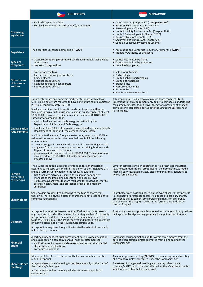|                                               | <b>PHILIPPINES</b>                                                                                                                                                                                                                                                                                                                                                                                                                                                                                                                                                                                                                                                                                                                                                                                                                                                                                                                                                                                                                                                                                                                                                                      | <b>SINGAPORE</b>                                                                                                                                                                                                                                                                                                                                                 |
|-----------------------------------------------|-----------------------------------------------------------------------------------------------------------------------------------------------------------------------------------------------------------------------------------------------------------------------------------------------------------------------------------------------------------------------------------------------------------------------------------------------------------------------------------------------------------------------------------------------------------------------------------------------------------------------------------------------------------------------------------------------------------------------------------------------------------------------------------------------------------------------------------------------------------------------------------------------------------------------------------------------------------------------------------------------------------------------------------------------------------------------------------------------------------------------------------------------------------------------------------------|------------------------------------------------------------------------------------------------------------------------------------------------------------------------------------------------------------------------------------------------------------------------------------------------------------------------------------------------------------------|
| Governing<br>legislation                      | • Revised Corporation Code<br>• Foreign Investments Act 1991 ("FIA"), as amended                                                                                                                                                                                                                                                                                                                                                                                                                                                                                                                                                                                                                                                                                                                                                                                                                                                                                                                                                                                                                                                                                                        | • Companies Act (Chapter 50) ("Companies Act")<br>• Business Registration Act (Chapter 32)<br>• Partnership Act (Chapter 391)<br>• Limited Liability Partnerships Act (Chapter 163A)<br>• Limited Partnerships Act (Chapter 163B)<br>• Business Trust Act (Chapter 31A)<br>• Securities and Futures Act (Chapter 289)<br>• Code on Collective Investment Schemes |
| <b>Regulators</b>                             | The Securities Exchange Commission ("SEC").                                                                                                                                                                                                                                                                                                                                                                                                                                                                                                                                                                                                                                                                                                                                                                                                                                                                                                                                                                                                                                                                                                                                             | • Accounting and Corporate Regulatory Authority ("ACRA")<br>• Monetary Authority of Singapore                                                                                                                                                                                                                                                                    |
| <b>Types of</b><br>companies                  | • Stock corporations (corporations which have capital stock divided<br>into shares)<br>• Non-stock corporations                                                                                                                                                                                                                                                                                                                                                                                                                                                                                                                                                                                                                                                                                                                                                                                                                                                                                                                                                                                                                                                                         | • Companies limited by shares<br>• Companies limited by guarantee<br>• Unlimited companies.                                                                                                                                                                                                                                                                      |
| <b>Other forms</b><br>of business<br>entities | • Sole proprietorships<br>• Partnerships and/or joint ventures<br>• Branch offices<br>• Regional headquarters<br>• Regional operating headquarters<br>• Representative offices                                                                                                                                                                                                                                                                                                                                                                                                                                                                                                                                                                                                                                                                                                                                                                                                                                                                                                                                                                                                          | • Sole proprietorships<br>• Partnerships<br>• Limited liability partnerships<br>• Limited partnerships<br>• Branch office<br>• Representative office<br>• Business Trust<br>• Real Estate Investment Trust                                                                                                                                                       |
| Capitalisation<br>requirements                | Export enterprises and domestic market enterprises with at least<br>60% Filipino equity are required to have a minimum paid-in capital of<br>PHP5,000 (approximately USD100).<br>Small and medium-sized domestic market enterprises with more<br>than 40% foreign equity must have a paid-in equity capital of at least<br>USD200,000. However, a minimum paid-in capital of USD100,000 is<br>sufficient for companies that:<br>• are involved in advanced technology, as certified by the<br>Department of Science and Technology; or<br>• employ at least 50 direct employees, as certified by the appropriate<br>Department of Labor and Employment Regional Office<br>In addition to the above, foreign investors may invest up to 100% in<br>a domestic or export enterprise provided they fulfill the following<br>requirements:<br>• are not engaged in any activity listed within the FIA's Negative List<br>• originate from a country or state that permits doing business with<br>Filipino citizens and corporations<br>• possess a paid-in capital of at least USD200,000. This requirement<br>may be reduced to USD100,000 under certain conditions, as<br>discussed above | All companies are subject to a minimum share capital of SGD1.<br>Exceptions to this requirement only apply to companies undertaking<br>regulated businesses (e.g. a travel agency or a provider of financial<br>services) or incorporated pursuant to the Singapore Entrepreneur<br>Pass scheme.                                                                 |
| Foreign<br>ownership<br><b>restrictions</b>   | The FIA has identified a list of restrictions on foreign ownership<br>according to industry sector. This list is known as the, "Negative List",<br>and it is further sub-divided into the following two lists:<br>• List A includes activities reserved to Philippine nationals by<br>mandate of the Philippine Constitution and special laws<br>• List B contains activities that are regulated for reasons of security,<br>defense, health, moral and protection of small and medium<br>enterprises                                                                                                                                                                                                                                                                                                                                                                                                                                                                                                                                                                                                                                                                                   | Save for companies which operate in certain restricted industries<br>(e.g. telecommunications, broadcasting, the domestic news media,<br>financial services, legal services, etc), companies may generally be<br>wholly foreign owned.                                                                                                                           |
| <b>Shareholders</b>                           | Shareholders are classified according to the type of shares that<br>they own. There is always a class of shares that entitles its holder to<br>complete voting rights.                                                                                                                                                                                                                                                                                                                                                                                                                                                                                                                                                                                                                                                                                                                                                                                                                                                                                                                                                                                                                  | Shareholders are classified based on the type of shares they possess,<br>i.e. ordinary or preference shares. As opposed to ordinary shares,<br>preference shares confer some preferential rights on preference<br>shareholders. Such rights may be in the form of dividends or the<br>return of capital.                                                         |
| <b>Directors</b>                              | A corporation must not have more than 15 directors on its board at<br>any one time, provided that in case of a bank/quasi-bank/trust entity<br>merger or consolidation, the number of directors may be increased<br>to up to 21 individuals. The scope, powers and duties of a director are<br>primarily determined by the Revised Corporation Code.<br>A corporation may have foreign directors to the extent of ownership<br>held by foreign nationals.                                                                                                                                                                                                                                                                                                                                                                                                                                                                                                                                                                                                                                                                                                                               | A company must comprise at least one director who ordinarily resides<br>in Singapore. Foreigners may generally be appointed as directors.                                                                                                                                                                                                                        |
| <b>Financial</b><br>audits                    | A certified independent public accountant must provide attestation<br>and assurance on a company's annual financial statements for:<br>• applications of increase and decrease of authorised stock capital<br>• stock dividend declarations<br>• corporate liquidations                                                                                                                                                                                                                                                                                                                                                                                                                                                                                                                                                                                                                                                                                                                                                                                                                                                                                                                 | Companies must appoint an auditor within three months from the<br>date of incorporation, unless exempted from doing so under the<br>Companies Act.                                                                                                                                                                                                               |
| Shareholders'<br>meetings                     | Meetings of directors, trustees, stockholders or members may be<br>regular or special.<br>A regular shareholders' meeting takes place annually, at the start of<br>the company's fiscal year.<br>A special stockholders' meeting will discuss an expanded list of<br>corporate acts.                                                                                                                                                                                                                                                                                                                                                                                                                                                                                                                                                                                                                                                                                                                                                                                                                                                                                                    | An annual general meeting ("AGM") is a mandatory annual meeting<br>of a company, unless exempted under the Companies Act.<br>An extraordinary general meeting is a meeting other than a<br>company's AGM, which may be called when there's a special matter<br>which requires shareholder's approval.                                                            |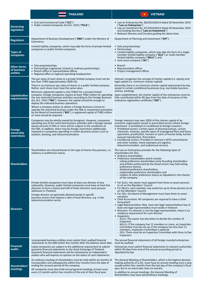|                                               | <b>THAILAND</b>                                                                                                                                                                                                                                                                                                                                                                                                                                                                                                                                                                                                                                                                                                                                                                                                                      | <b>VIETNAM</b><br>★                                                                                                                                                                                                                                                                                                                                                                                                                                                                                                                                                                                                                                                                                                                                                                                                                                                                                                                                                     |
|-----------------------------------------------|--------------------------------------------------------------------------------------------------------------------------------------------------------------------------------------------------------------------------------------------------------------------------------------------------------------------------------------------------------------------------------------------------------------------------------------------------------------------------------------------------------------------------------------------------------------------------------------------------------------------------------------------------------------------------------------------------------------------------------------------------------------------------------------------------------------------------------------|-------------------------------------------------------------------------------------------------------------------------------------------------------------------------------------------------------------------------------------------------------------------------------------------------------------------------------------------------------------------------------------------------------------------------------------------------------------------------------------------------------------------------------------------------------------------------------------------------------------------------------------------------------------------------------------------------------------------------------------------------------------------------------------------------------------------------------------------------------------------------------------------------------------------------------------------------------------------------|
| <b>Governing</b><br>legislation               | • Civil and Commercial Code ("CCC")<br>• Public Limited Companies Act B.E. 2535 ("PCLA")                                                                                                                                                                                                                                                                                                                                                                                                                                                                                                                                                                                                                                                                                                                                             | • Law on Enterprises No. 68/2014/QH13 dated 26 November 2014<br>("Law on Enterprises")<br>• Law on Investment No. 67/2014/QH13 dated 26 November 2014<br>and Guiding Decrees ("Law on Investment")<br>• Relevant Decrees and Circulars guiding the above laws                                                                                                                                                                                                                                                                                                                                                                                                                                                                                                                                                                                                                                                                                                           |
| <b>Regulators</b>                             | Department of Business Development ("DBD") under the Ministry of<br>Commerce.                                                                                                                                                                                                                                                                                                                                                                                                                                                                                                                                                                                                                                                                                                                                                        | Department of Planning and Investment ("DPI").                                                                                                                                                                                                                                                                                                                                                                                                                                                                                                                                                                                                                                                                                                                                                                                                                                                                                                                          |
| <b>Types of</b><br>companies                  | Limited liability companies, which may take the form of private limited<br>companies or public limited companies.                                                                                                                                                                                                                                                                                                                                                                                                                                                                                                                                                                                                                                                                                                                    | • Sole proprietorships<br>• Partnerships<br>• Limited liability companies, which may take the form of a single-<br>member limited liability company ("SLLC") or multi-member<br>limited liability company ("MLLC"); and<br>• Joint stock company ("JSC")                                                                                                                                                                                                                                                                                                                                                                                                                                                                                                                                                                                                                                                                                                                |
| <b>Other forms</b><br>of business<br>entities | • Sole proprietorships<br>• Partnerships (registered, limited or ordinary partnerships)<br>• Branch office or representative offices<br>• Regional office or regional operating headquarters                                                                                                                                                                                                                                                                                                                                                                                                                                                                                                                                                                                                                                         | $\bullet$ Branch<br>• Representative offices<br>• Project management offices                                                                                                                                                                                                                                                                                                                                                                                                                                                                                                                                                                                                                                                                                                                                                                                                                                                                                            |
| Capitalisation<br>requirements                | The par value of each share in a private limited company must not be<br>less than THB5 (approximately USD0.16).<br>There is no minimum par value of shares in a public limited company.<br>Rather, each share must have the same value.<br>Minimum registered capital is only THB15 for a private limited<br>company. Foreign companies require at least THB2 million for operating<br>the non-restricted business activities according to the Foreign Business<br>Act, B.E. 2542 ("FBA"). However, the capital should be enough to<br>deploy the indented business operations.<br>Where a company wishes to obtain a Foreign Business License to<br>operate the restricted business under the FBA or investment promotion<br>by the Board of Investment ("BOI"), a registered capital of THB3 million<br>or more would be required. | Vietnam recognises the concept of charter capital (i.e. equity) and<br>legal capital (i.e. minimum charter capital).<br>Generally, there is no minimum charter capital requirement by law,<br>except in certain conditional businesses (e.g. real estate business,<br>airlines, banking).<br>Upon establishment, the charter capital of the enterprises must be<br>fully contributed within 90 days from the date of issuance of the<br>enterprise registration certificate ("ERC").                                                                                                                                                                                                                                                                                                                                                                                                                                                                                    |
| <b>Foreign</b><br>ownership<br>restrictions   | Companies may be wholly-owned by foreigners. However, companies<br>operating any of the restricted business activities with a foreign-owned<br>equity amount of 50% or more will be subject to the conditions of<br>the FBA. In addition, there may be foreign restrictions additionally<br>imposed on companies operating in certain business sectors such as<br>aviation, banking, and telecommunication.                                                                                                                                                                                                                                                                                                                                                                                                                          | Foreign investors may own 100% of the charter capital of an<br>economic organisation except in prescribed sectors where foreign<br>investment is prohibited or conditional to foreign investors.<br>• Prohibited sectors: Certain types of pharmaceuticals, certain<br>chemicals, minerals, specific types of endangered flora and fauna<br>specimens, prostitution, humans or parts of human body, human<br>asexual reproduction, firecrackers<br>• Conditional sectors: Provided in Vietnam's WTO commitments<br>and other treaties. Some examples are logistics,<br>telecommunication, and audiovisual services                                                                                                                                                                                                                                                                                                                                                      |
| <b>Shareholders</b>                           | Shareholders are classed based on the type of shares they possess, i.e.<br>ordinary or preference shares.                                                                                                                                                                                                                                                                                                                                                                                                                                                                                                                                                                                                                                                                                                                            | The Law on Enterprises provides for the following types of<br>shareholders for JSCs:<br>• Ordinary shareholders<br>• Preference shareholders which include:<br>- voting preference shareholders (only founding shareholders<br>and entities authorised by the Government may hold voting<br>preference shares),<br>dividend preference shareholders,<br>redeemable preference shareholders and<br>holders of other preference shares as stipulated in the charter<br>of the company                                                                                                                                                                                                                                                                                                                                                                                                                                                                                     |
| <b>Directors</b>                              | Private limited companies must have at least one director of any<br>nationality. However, public limited companies must have at least five<br>directors to form a board and half of these directors must possess<br>addresses in Thailand.<br>Foreign director are generally allowed except in specific<br>business sectors that impose a ratio of local directors, e.g. in the<br>telecommunication sector.                                                                                                                                                                                                                                                                                                                                                                                                                         | • For SLLCs: the owner must appoint from three to seven persons<br>to sit on the Members' Council<br>• For MLLCs: each member may authorise up to three persons to sit<br>on the Members' Council<br>• For JSCs: the Board of Management must have three to seven<br>members<br>• Chief Accountant: All companies are required to have a Chief<br>Accountant<br>• Legal Representative: May have two legal representatives buy at<br>least one legal representative must reside in Vietnam<br>• Directors: If a director is not the legal representative, there is no<br>residency requirement for such director<br>• Inspectors:<br>- SLLCs: The owner has discretion to decide the number of<br>Inspectors<br>- MLLCs: If the company has 11 members or more, an Inspection<br>Committee must be set up; if the company has less than 11<br>members, Inspection Committee is optional<br>JSCs: There must be an Inspection Committee with three to five<br>Inspectors |
| <b>Financial</b><br>audits                    | Incorporated business entities must submit their audited financial<br>statements to the DBD within five months after the balance sheet date.<br>Listed companies are subject to the additional requirement to submit<br>quarterly financial statements to the Stock Exchange of Thailand.<br>Quarterly financial statements will be reviewed by an independent<br>auditor who will express no opinion on the status of such statements.                                                                                                                                                                                                                                                                                                                                                                                              | The annual financial statements of all foreign invested enterprises<br>must be audited.<br>Enterprises must submit financial statements to relevant authorities<br>within 90 days from end of the annual accounting period as<br>stipulated by law.                                                                                                                                                                                                                                                                                                                                                                                                                                                                                                                                                                                                                                                                                                                     |
| Shareholders'<br>meetings                     | An ordinary meeting of shareholders must be held within six months of<br>incorporation and subsequently within four months from the date of<br>ending the account period of the company.<br>All companies must also hold annual general meetings at least once<br>every 12 months within four months of the end of their fiscal year.                                                                                                                                                                                                                                                                                                                                                                                                                                                                                                | The General Meeting of Shareholders, which is the highest decision<br>making authority of a JSC, must have an annual meeting once a year,<br>usually within four months from the last day of the company's fiscal<br>year, but in no event later than six months.<br>In addition to annual meetings, the General Meeting of<br>Shareholders may have extraordinary meetings.                                                                                                                                                                                                                                                                                                                                                                                                                                                                                                                                                                                            |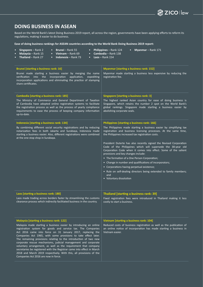## ZICO I law

#### **DOING BUSINESS IN ASEAN**

Based on the World Bank's latest Doing Business 2019 report, all across the region, governments have been applying efforts to reform its regulations, making it easier to do business.

**Ease of doing business rankings for ASEAN countries according to the World Bank Doing Business 2019 report:**

| Singapore - Rank 2<br>Brunei - Rank 55<br>Myanmar - Rank 171<br><b>Philippines</b> – Rank 124<br>$\bullet$<br>Malaysia - Rank 15<br>Vietnam - Rank 69<br>Cambodia - Rank 138<br><b>Thailand</b> - Rank $27$<br><b>Indonesia</b> – Rank 73<br>Laos $-$ Rank 154                                                                                                                                                                                                                                                                                                                                                                                                                                                |                                                                                                                                                                                                                                                                                                                                                                                                                                                                                                                                                                                                                                                                                                                                                             |  |
|---------------------------------------------------------------------------------------------------------------------------------------------------------------------------------------------------------------------------------------------------------------------------------------------------------------------------------------------------------------------------------------------------------------------------------------------------------------------------------------------------------------------------------------------------------------------------------------------------------------------------------------------------------------------------------------------------------------|-------------------------------------------------------------------------------------------------------------------------------------------------------------------------------------------------------------------------------------------------------------------------------------------------------------------------------------------------------------------------------------------------------------------------------------------------------------------------------------------------------------------------------------------------------------------------------------------------------------------------------------------------------------------------------------------------------------------------------------------------------------|--|
| <b>Brunei [starting a business rank: 16]</b><br>Brunei made starting a business easier by merging the name<br>verification into the incorporation application,<br>expediting<br>incorporation applications and eliminating the practice of stamping<br>share certificates.                                                                                                                                                                                                                                                                                                                                                                                                                                    | <b>Myanmar [starting a business rank: 152]</b><br>Myanmar made starting a business less expensive by reducing the<br>registration fee.                                                                                                                                                                                                                                                                                                                                                                                                                                                                                                                                                                                                                      |  |
| Cambodia [starting a business rank: 185]<br>The Ministry of Commerce and General Department of Taxation<br>of Cambodia have adopted online registration systems to facilitate<br>the registration process as well as the process of yearly compliance<br>requirements to ease the process of keeping company information<br>up-to-date.                                                                                                                                                                                                                                                                                                                                                                       | Singapore [starting a business rank: 3]<br>The highest ranked Asian country for ease of doing business is<br>Singapore, which retains the number 2 spot on the World Bank's<br>global rankings. Singapore made starting a business easier by<br>abolishing corporate seals.                                                                                                                                                                                                                                                                                                                                                                                                                                                                                 |  |
| Indonesia [starting a business rank: 134]<br>By combining different social security registrations and by reducing<br>notarization fees in both Jakarta and Surabaya, Indonesia made<br>starting a business easier. Also, different registrations were combined<br>at the one-stop shop in Surabaya.                                                                                                                                                                                                                                                                                                                                                                                                           | Philippines [starting a business rank: 166]<br>The Philippines made starting a business easier by simplifying tax<br>registration and business licensing processes. At the same time,<br>the Philippines increased tax registration costs.<br>President Duterte has also recently signed the Revised Corporation<br>Code of the Philippines which will supersede the 38-year old<br>Corporation Code when it comes into effect. Some of the salient<br>provisions and key changes include:<br>• The formation of a One Person Corporation;<br>• Change in number and qualifications of incorporators;<br>• Corporations having perpetual existence;<br>• Rule on self-dealing directors being extended to family members;<br>and<br>• Voluntary dissolution |  |
| Laos [starting a business rank: 180]<br>Laos made trading across borders faster by streamlining the customs<br>clearance process which indirectly facilitated business in the country.                                                                                                                                                                                                                                                                                                                                                                                                                                                                                                                        | Thailand [starting a business rank: 39]<br>Fixed registration fees were introduced in Thailand making it less<br>costly to start a business.                                                                                                                                                                                                                                                                                                                                                                                                                                                                                                                                                                                                                |  |
| Malaysia [starting a business rank: 122]<br>Malaysia made starting a business easier by introducing an online<br>registration system for goods and service tax. The Companies<br>Act 2016 came into force on 31 January 2017, replacing the<br>Companies Act 1965, with some provisions to take effect later.<br>The remaining provisions relating to the introduction of two new<br>corporate rescue mechanisms, judicial management and corporate<br>voluntary arrangement, as well as the requirement that company<br>secretaries be registered with the Registrar came into effect in March<br>2018 and March 2019 respectively. With this, all provisions of the<br>Companies Act 2016 are now in force. | Vietnam [starting a business rank: 104]<br>Reduced costs of business registration as well as the publication of<br>an online notice of incorporation has made starting a business in<br>Vietnam easier.                                                                                                                                                                                                                                                                                                                                                                                                                                                                                                                                                     |  |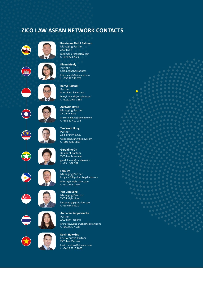### **ZICO LAW ASEAN NETWORK CONTACTS**



**Rozaiman Abdul Rahman** Managing Partner ZICO R.A.R rozaiman.ar@zicolaw.com t. +673 223 2929

**Khieu Mealy** Partner SokSiphana&associates khieu.mealy@zicolaw.com t. +855 12 999 878

**Barryl Rolandi** Partner Roosdiono & Partners barryl.rolandi@zicolaw.com t. +6221 2978 3888

**Aristotle David** Managing Partner ZICO Law Laos aristotle.david@zicolaw.com t. +856 21 410 033

**Tan Wooi Hong** Partner Zaid Ibrahim & Co. wooi.hong.tan@zicolaw.com t. +603 2087 9805

**Geraldine Oh** Resident Partner ZICO Law Myanmar geraldine.oh@zicolaw.com t. +95 1 538 362

**Felix Sy** Managing Partner Insights Philippines Legal Advisors felix.sy@insights-law.com t. +63 2 903 1290

**Yap Lian Seng** Managing Director ZICO Insights Law lian.seng.yap@zicolaw.com t. +65 6443 4920

**Archaree Suppakrucha** Partner ZICO Law Thailand archaree.suppakrucha@zicolaw.com t. +66 2 6777 588

**Kevin Hawkins** Co-Executive Partner ZICO Law Vietnam kevin.hawkins@zicolaw.com t. +84 28 3915 1000